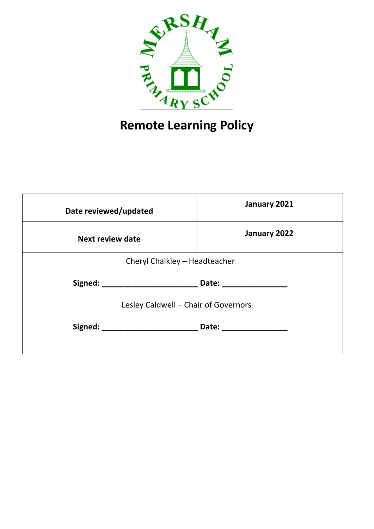

| Date reviewed/updated                                                            | January 2021 |
|----------------------------------------------------------------------------------|--------------|
| <b>Next review date</b>                                                          | January 2022 |
| Cheryl Chalkley - Headteacher                                                    |              |
| Signed: _________________________________ Date: ________________________________ |              |
| Lesley Caldwell - Chair of Governors                                             |              |
| Signed: ___________________________________ Date: ______________________________ |              |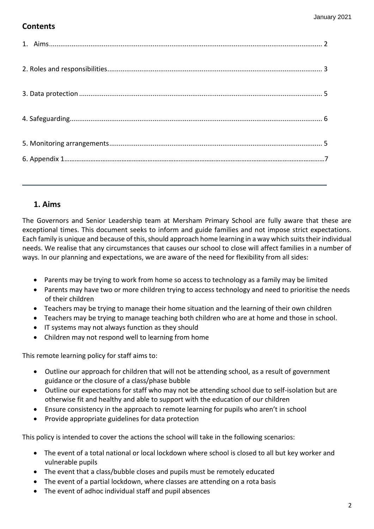# **Contents**

# **1. Aims**

The Governors and Senior Leadership team at Mersham Primary School are fully aware that these are exceptional times. This document seeks to inform and guide families and not impose strict expectations. Each family is unique and because of this, should approach home learning in a way which suits their individual needs. We realise that any circumstances that causes our school to close will affect families in a number of ways. In our planning and expectations, we are aware of the need for flexibility from all sides:

- Parents may be trying to work from home so access to technology as a family may be limited
- Parents may have two or more children trying to access technology and need to prioritise the needs of their children
- Teachers may be trying to manage their home situation and the learning of their own children
- Teachers may be trying to manage teaching both children who are at home and those in school.
- IT systems may not always function as they should
- Children may not respond well to learning from home

This remote learning policy for staff aims to:

- Outline our approach for children that will not be attending school, as a result of government guidance or the closure of a class/phase bubble
- Outline our expectations for staff who may not be attending school due to self-isolation but are otherwise fit and healthy and able to support with the education of our children
- Ensure consistency in the approach to remote learning for pupils who aren't in school
- Provide appropriate guidelines for data protection

This policy is intended to cover the actions the school will take in the following scenarios:

- The event of a total national or local lockdown where school is closed to all but key worker and vulnerable pupils
- The event that a class/bubble closes and pupils must be remotely educated
- The event of a partial lockdown, where classes are attending on a rota basis
- The event of adhoc individual staff and pupil absences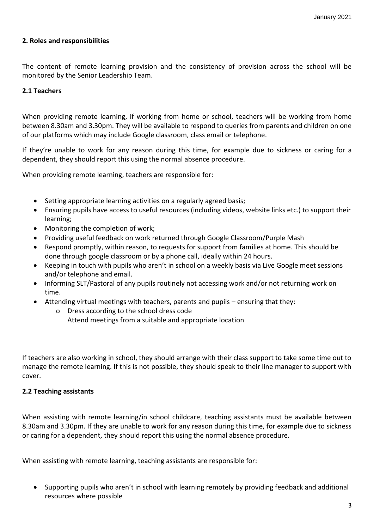#### <span id="page-2-0"></span>**2. Roles and responsibilities**

The content of remote learning provision and the consistency of provision across the school will be monitored by the Senior Leadership Team.

#### **2.1 Teachers**

When providing remote learning, if working from home or school, teachers will be working from home between 8.30am and 3.30pm. They will be available to respond to queries from parents and children on one of our platforms which may include Google classroom, class email or telephone.

If they're unable to work for any reason during this time, for example due to sickness or caring for a dependent, they should report this using the normal absence procedure.

When providing remote learning, teachers are responsible for:

- Setting appropriate learning activities on a regularly agreed basis;
- Ensuring pupils have access to useful resources (including videos, website links etc.) to support their learning;
- Monitoring the completion of work;
- Providing useful feedback on work returned through Google Classroom/Purple Mash
- Respond promptly, within reason, to requests for support from families at home. This should be done through google classroom or by a phone call, ideally within 24 hours.
- Keeping in touch with pupils who aren't in school on a weekly basis via Live Google meet sessions and/or telephone and email.
- Informing SLT/Pastoral of any pupils routinely not accessing work and/or not returning work on time.
- Attending virtual meetings with teachers, parents and pupils ensuring that they:
	- o Dress according to the school dress code Attend meetings from a suitable and appropriate location

If teachers are also working in school, they should arrange with their class support to take some time out to manage the remote learning. If this is not possible, they should speak to their line manager to support with cover.

#### **2.2 Teaching assistants**

When assisting with remote learning/in school childcare, teaching assistants must be available between 8.30am and 3.30pm. If they are unable to work for any reason during this time, for example due to sickness or caring for a dependent, they should report this using the normal absence procedure.

When assisting with remote learning, teaching assistants are responsible for:

 Supporting pupils who aren't in school with learning remotely by providing feedback and additional resources where possible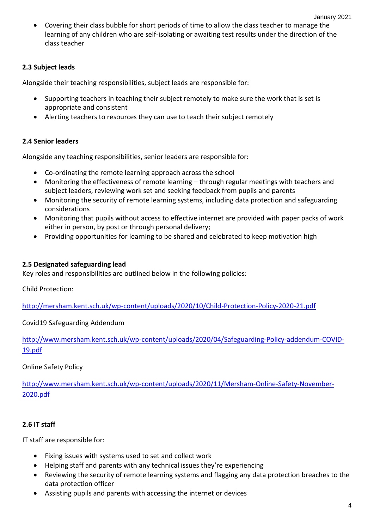Covering their class bubble for short periods of time to allow the class teacher to manage the learning of any children who are self-isolating or awaiting test results under the direction of the class teacher

# **2.3 Subject leads**

Alongside their teaching responsibilities, subject leads are responsible for:

- Supporting teachers in teaching their subject remotely to make sure the work that is set is appropriate and consistent
- Alerting teachers to resources they can use to teach their subject remotely

# **2.4 Senior leaders**

Alongside any teaching responsibilities, senior leaders are responsible for:

- Co-ordinating the remote learning approach across the school
- Monitoring the effectiveness of remote learning through regular meetings with teachers and subject leaders, reviewing work set and seeking feedback from pupils and parents
- Monitoring the security of remote learning systems, including data protection and safeguarding considerations
- Monitoring that pupils without access to effective internet are provided with paper packs of work either in person, by post or through personal delivery;
- Providing opportunities for learning to be shared and celebrated to keep motivation high

# **2.5 Designated safeguarding lead**

Key roles and responsibilities are outlined below in the following policies:

Child Protection:

<http://mersham.kent.sch.uk/wp-content/uploads/2020/10/Child-Protection-Policy-2020-21.pdf>

Covid19 Safeguarding Addendum

[http://www.mersham.kent.sch.uk/wp-content/uploads/2020/04/Safeguarding-Policy-addendum-COVID-](http://www.mersham.kent.sch.uk/wp-content/uploads/2020/04/Safeguarding-Policy-addendum-COVID-19.pdf)[19.pdf](http://www.mersham.kent.sch.uk/wp-content/uploads/2020/04/Safeguarding-Policy-addendum-COVID-19.pdf)

Online Safety Policy

[http://www.mersham.kent.sch.uk/wp-content/uploads/2020/11/Mersham-Online-Safety-November-](http://www.mersham.kent.sch.uk/wp-content/uploads/2020/11/Mersham-Online-Safety-November-2020.pdf)[2020.pdf](http://www.mersham.kent.sch.uk/wp-content/uploads/2020/11/Mersham-Online-Safety-November-2020.pdf)

# **2.6 IT staff**

IT staff are responsible for:

- Fixing issues with systems used to set and collect work
- Helping staff and parents with any technical issues they're experiencing
- Reviewing the security of remote learning systems and flagging any data protection breaches to the data protection officer
- Assisting pupils and parents with accessing the internet or devices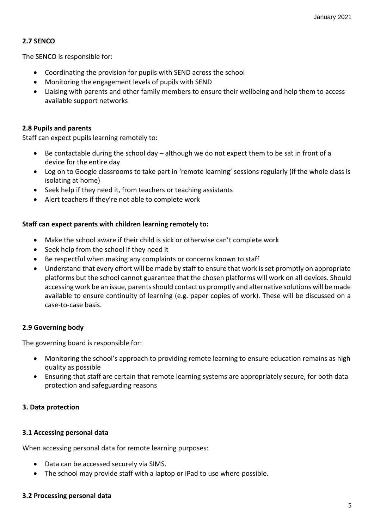# **2.7 SENCO**

The SENCO is responsible for:

- Coordinating the provision for pupils with SEND across the school
- Monitoring the engagement levels of pupils with SEND
- Liaising with parents and other family members to ensure their wellbeing and help them to access available support networks

#### **2.8 Pupils and parents**

Staff can expect pupils learning remotely to:

- Be contactable during the school day although we do not expect them to be sat in front of a device for the entire day
- Log on to Google classrooms to take part in 'remote learning' sessions regularly (if the whole class is isolating at home)
- Seek help if they need it, from teachers or teaching assistants
- Alert teachers if they're not able to complete work

#### **Staff can expect parents with children learning remotely to:**

- Make the school aware if their child is sick or otherwise can't complete work
- Seek help from the school if they need it
- Be respectful when making any complaints or concerns known to staff
- Understand that every effort will be made by staff to ensure that work is set promptly on appropriate platforms but the school cannot guarantee that the chosen platforms will work on all devices. Should accessing work be an issue, parents should contact us promptly and alternative solutions will be made available to ensure continuity of learning (e.g. paper copies of work). These will be discussed on a case-to-case basis.

#### **2.9 Governing body**

The governing board is responsible for:

- Monitoring the school's approach to providing remote learning to ensure education remains as high quality as possible
- Ensuring that staff are certain that remote learning systems are appropriately secure, for both data protection and safeguarding reasons

#### <span id="page-4-0"></span>**3. Data protection**

#### **3.1 Accessing personal data**

When accessing personal data for remote learning purposes:

- Data can be accessed securely via SIMS.
- The school may provide staff with a laptop or iPad to use where possible.

#### **3.2 Processing personal data**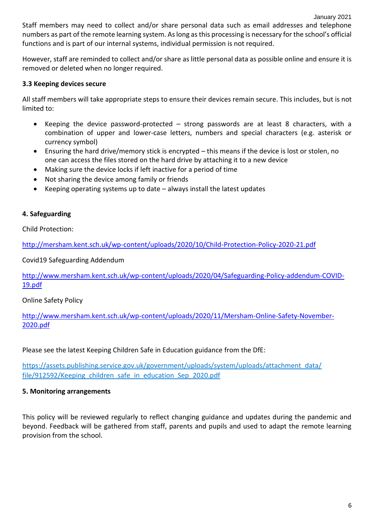Staff members may need to collect and/or share personal data such as email addresses and telephone numbers as part of the remote learning system. As long as this processing is necessary for the school's official functions and is part of our internal systems, individual permission is not required.

However, staff are reminded to collect and/or share as little personal data as possible online and ensure it is removed or deleted when no longer required.

# **3.3 Keeping devices secure**

All staff members will take appropriate steps to ensure their devices remain secure. This includes, but is not limited to:

- Keeping the device password-protected  $-$  strong passwords are at least 8 characters, with a combination of upper and lower-case letters, numbers and special characters (e.g. asterisk or currency symbol)
- Ensuring the hard drive/memory stick is encrypted this means if the device is lost or stolen, no one can access the files stored on the hard drive by attaching it to a new device
- Making sure the device locks if left inactive for a period of time
- Not sharing the device among family or friends
- Keeping operating systems up to date always install the latest updates

# **4. Safeguarding**

Child Protection:

<http://mersham.kent.sch.uk/wp-content/uploads/2020/10/Child-Protection-Policy-2020-21.pdf>

Covid19 Safeguarding Addendum

[http://www.mersham.kent.sch.uk/wp-content/uploads/2020/04/Safeguarding-Policy-addendum-COVID-](http://www.mersham.kent.sch.uk/wp-content/uploads/2020/04/Safeguarding-Policy-addendum-COVID-19.pdf)[19.pdf](http://www.mersham.kent.sch.uk/wp-content/uploads/2020/04/Safeguarding-Policy-addendum-COVID-19.pdf)

Online Safety Policy

[http://www.mersham.kent.sch.uk/wp-content/uploads/2020/11/Mersham-Online-Safety-November-](http://www.mersham.kent.sch.uk/wp-content/uploads/2020/11/Mersham-Online-Safety-November-2020.pdf)[2020.pdf](http://www.mersham.kent.sch.uk/wp-content/uploads/2020/11/Mersham-Online-Safety-November-2020.pdf)

Please see the latest Keeping Children Safe in Education guidance from the DfE:

[https://assets.publishing.service.gov.uk/government/uploads/system/uploads/attachment\\_data/](https://assets.publishing.service.gov.uk/government/uploads/system/uploads/attachment_data/file/912592/Keeping_children_safe_in_education_Sep_2020.pdf) file/912592/Keeping children safe in education Sep 2020.pdf

# **5. Monitoring arrangements**

This policy will be reviewed regularly to reflect changing guidance and updates during the pandemic and beyond. Feedback will be gathered from staff, parents and pupils and used to adapt the remote learning provision from the school.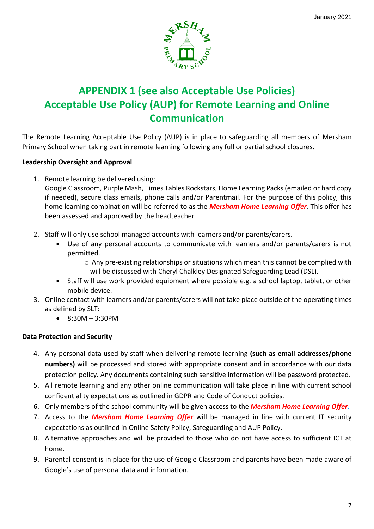

# **APPENDIX 1 (see also Acceptable Use Policies) Acceptable Use Policy (AUP) for Remote Learning and Online Communication**

The Remote Learning Acceptable Use Policy (AUP) is in place to safeguarding all members of Mersham Primary School when taking part in remote learning following any full or partial school closures.

# **Leadership Oversight and Approval**

1. Remote learning be delivered using:

Google Classroom, Purple Mash, Times Tables Rockstars, Home Learning Packs (emailed or hard copy if needed), secure class emails, phone calls and/or Parentmail. For the purpose of this policy, this home learning combination will be referred to as the *Mersham Home Learning Offer.* This offer has been assessed and approved by the headteacher

- 2. Staff will only use school managed accounts with learners and/or parents/carers.
	- Use of any personal accounts to communicate with learners and/or parents/carers is not permitted.
		- $\circ$  Any pre-existing relationships or situations which mean this cannot be complied with will be discussed with Cheryl Chalkley Designated Safeguarding Lead (DSL).
	- Staff will use work provided equipment where possible e.g. a school laptop, tablet, or other mobile device.
- 3. Online contact with learners and/or parents/carers will not take place outside of the operating times as defined by SLT:
	- $\bullet$  8:30M 3:30PM

# **Data Protection and Security**

- 4. Any personal data used by staff when delivering remote learning **(such as email addresses/phone numbers)** will be processed and stored with appropriate consent and in accordance with our data protection policy. Any documents containing such sensitive information will be password protected.
- 5. All remote learning and any other online communication will take place in line with current school confidentiality expectations as outlined in GDPR and Code of Conduct policies.
- 6. Only members of the school community will be given access to the *Mersham Home Learning Offer***.**
- 7. Access to the *Mersham Home Learning Offer* will be managed in line with current IT security expectations as outlined in Online Safety Policy, Safeguarding and AUP Policy.
- 8. Alternative approaches and will be provided to those who do not have access to sufficient ICT at home.
- 9. Parental consent is in place for the use of Google Classroom and parents have been made aware of Google's use of personal data and information.